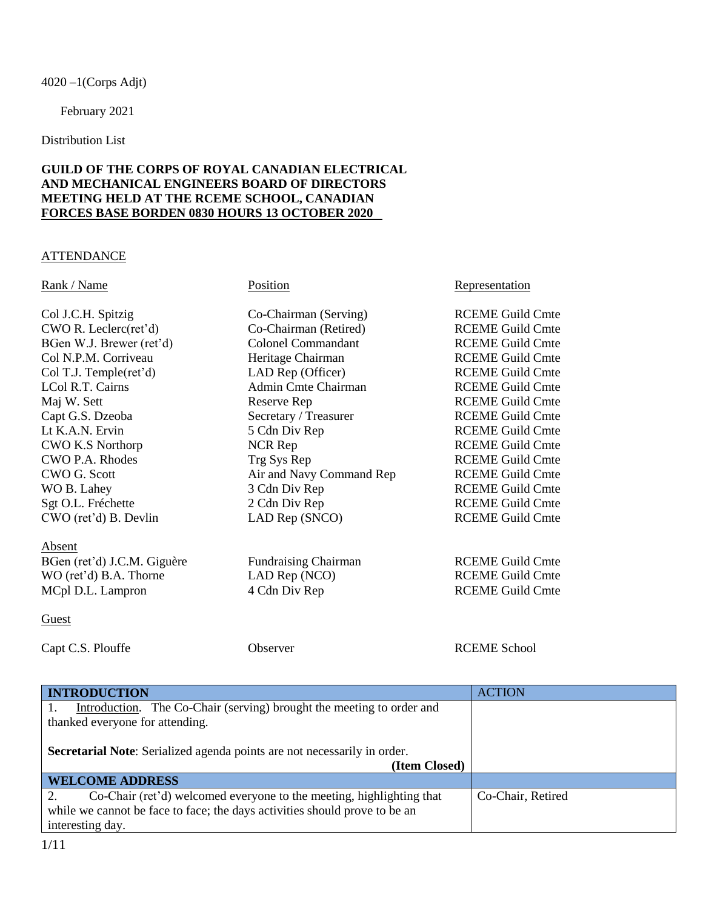$4020 - 1$ (Corps Adjt)

February 2021

Distribution List

# **GUILD OF THE CORPS OF ROYAL CANADIAN ELECTRICAL AND MECHANICAL ENGINEERS BOARD OF DIRECTORS MEETING HELD AT THE RCEME SCHOOL, CANADIAN FORCES BASE BORDEN 0830 HOURS 13 OCTOBER 2020**

## ATTENDANCE

Col J.C.H. Spitzig Co-Chairman (Serving) RCEME Guild Cmte CWO R. Leclerc(ret'd) Co-Chairman (Retired) RCEME Guild Cmte BGen W.J. Brewer (ret'd) Colonel Commandant RCEME Guild Cmte Col N.P.M. Corriveau Heritage Chairman RCEME Guild Cmte Col T.J. Temple(ret'd) LAD Rep (Officer) RCEME Guild Cmte LCol R.T. Cairns **Admin Cmte Chairman** RCEME Guild Cmte Maj W. Sett **Reserve Rep** Reserve Rep RCEME Guild Cmte Capt G.S. Dzeoba Secretary / Treasurer RCEME Guild Cmte Lt K.A.N. Ervin 5 Cdn Div Rep RCEME Guild Cmte CWO K.S Northorp NCR Rep RCEME Guild Cmte CWO P.A. Rhodes Trg Sys Rep RCEME Guild Cmte CWO G. Scott Air and Navy Command Rep RCEME Guild Cmte WO B. Lahey 3 Cdn Div Rep RCEME Guild Cmte Sgt O.L. Fréchette 2 Cdn Div Rep RCEME Guild Cmte CWO (ret'd) B. Devlin LAD Rep (SNCO) RCEME Guild Cmte

Absent BGen (ret'd) J.C.M. Giguère Fundraising Chairman RCEME Guild Cmte WO (ret'd) B.A. Thorne LAD Rep (NCO) RCEME Guild Cmte MCpl D.L. Lampron 4 Cdn Div Rep RCEME Guild Cmte

# Rank / Name Position Representation Representation

## **Guest**

Capt C.S. Plouffe **C.S.** Observer **CAPT COME School** 

| <b>INTRODUCTION</b>                                                             | <b>ACTION</b>     |
|---------------------------------------------------------------------------------|-------------------|
| Introduction. The Co-Chair (serving) brought the meeting to order and           |                   |
| thanked everyone for attending.                                                 |                   |
|                                                                                 |                   |
| <b>Secretarial Note:</b> Serialized agenda points are not necessarily in order. |                   |
| (Item Closed)                                                                   |                   |
| <b>WELCOME ADDRESS</b>                                                          |                   |
| Co-Chair (ret'd) welcomed everyone to the meeting, highlighting that            | Co-Chair, Retired |
| while we cannot be face to face; the days activities should prove to be an      |                   |
| interesting day.                                                                |                   |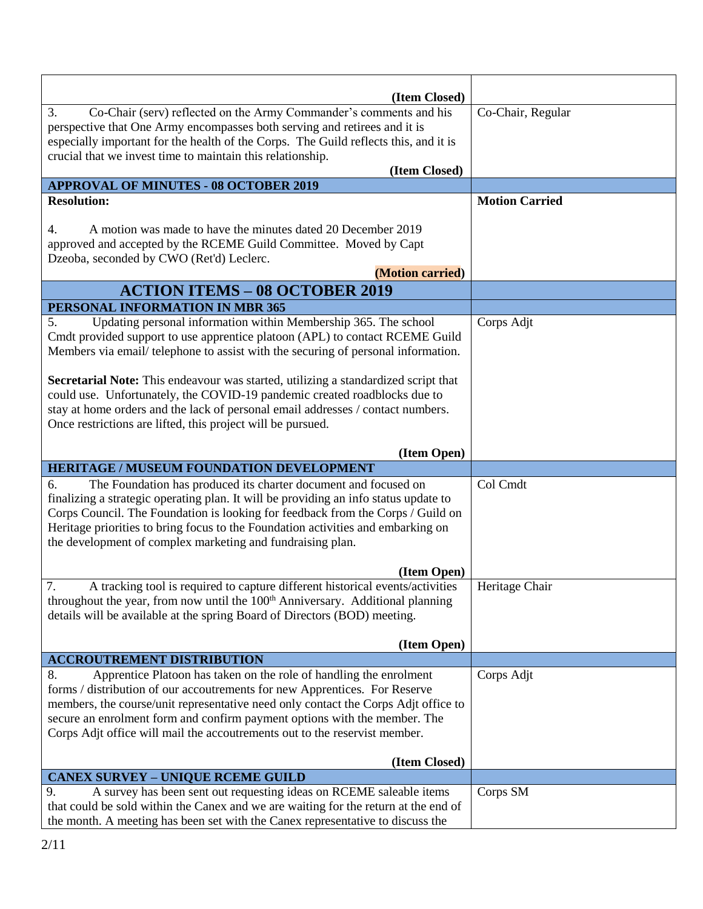| (Item Closed)                                                                                   |                       |
|-------------------------------------------------------------------------------------------------|-----------------------|
| Co-Chair (serv) reflected on the Army Commander's comments and his<br>3.                        | Co-Chair, Regular     |
| perspective that One Army encompasses both serving and retirees and it is                       |                       |
| especially important for the health of the Corps. The Guild reflects this, and it is            |                       |
| crucial that we invest time to maintain this relationship.                                      |                       |
| (Item Closed)                                                                                   |                       |
| <b>APPROVAL OF MINUTES - 08 OCTOBER 2019</b>                                                    |                       |
| <b>Resolution:</b>                                                                              | <b>Motion Carried</b> |
|                                                                                                 |                       |
| A motion was made to have the minutes dated 20 December 2019<br>4.                              |                       |
| approved and accepted by the RCEME Guild Committee. Moved by Capt                               |                       |
| Dzeoba, seconded by CWO (Ret'd) Leclerc.                                                        |                       |
| (Motion carried)                                                                                |                       |
| <b>ACTION ITEMS - 08 OCTOBER 2019</b>                                                           |                       |
| PERSONAL INFORMATION IN MBR 365                                                                 |                       |
| Updating personal information within Membership 365. The school<br>5.                           | Corps Adjt            |
| Cmdt provided support to use apprentice platoon (APL) to contact RCEME Guild                    |                       |
| Members via email/ telephone to assist with the securing of personal information.               |                       |
| Secretarial Note: This endeavour was started, utilizing a standardized script that              |                       |
| could use. Unfortunately, the COVID-19 pandemic created roadblocks due to                       |                       |
| stay at home orders and the lack of personal email addresses / contact numbers.                 |                       |
| Once restrictions are lifted, this project will be pursued.                                     |                       |
|                                                                                                 |                       |
| (Item Open)                                                                                     |                       |
| <b>HERITAGE / MUSEUM FOUNDATION DEVELOPMENT</b>                                                 |                       |
| The Foundation has produced its charter document and focused on<br>6.                           | Col Cmdt              |
| finalizing a strategic operating plan. It will be providing an info status update to            |                       |
| Corps Council. The Foundation is looking for feedback from the Corps / Guild on                 |                       |
| Heritage priorities to bring focus to the Foundation activities and embarking on                |                       |
| the development of complex marketing and fundraising plan.                                      |                       |
| (Item Open)                                                                                     |                       |
| 7 <sub>1</sub><br>A tracking tool is required to capture different historical events/activities | Heritage Chair        |
| throughout the year, from now until the 100 <sup>th</sup> Anniversary. Additional planning      |                       |
| details will be available at the spring Board of Directors (BOD) meeting.                       |                       |
|                                                                                                 |                       |
| (Item Open)                                                                                     |                       |
| <b>ACCROUTREMENT DISTRIBUTION</b>                                                               |                       |
| Apprentice Platoon has taken on the role of handling the enrolment<br>8.                        | Corps Adjt            |
| forms / distribution of our accoutrements for new Apprentices. For Reserve                      |                       |
| members, the course/unit representative need only contact the Corps Adjt office to              |                       |
| secure an enrolment form and confirm payment options with the member. The                       |                       |
| Corps Adjt office will mail the accoutrements out to the reservist member.                      |                       |
| (Item Closed)                                                                                   |                       |
| <b>CANEX SURVEY - UNIQUE RCEME GUILD</b>                                                        |                       |
| A survey has been sent out requesting ideas on RCEME saleable items<br>9.                       | Corps SM              |
|                                                                                                 |                       |
| that could be sold within the Canex and we are waiting for the return at the end of             |                       |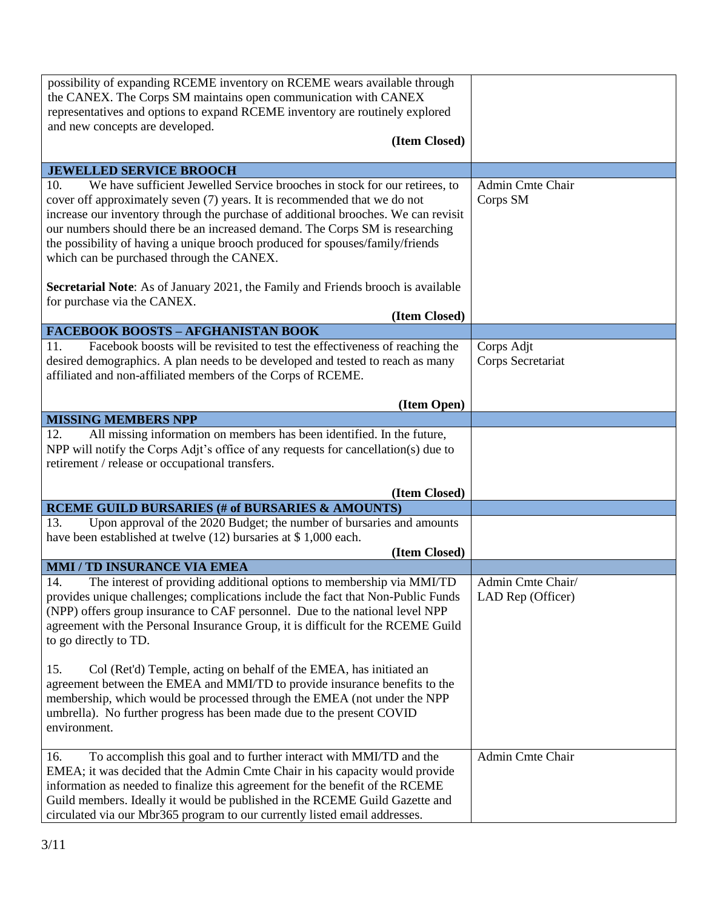| possibility of expanding RCEME inventory on RCEME wears available through<br>the CANEX. The Corps SM maintains open communication with CANEX<br>representatives and options to expand RCEME inventory are routinely explored<br>and new concepts are developed.<br>(Item Closed)                                                                                                                                                                                   |                                        |
|--------------------------------------------------------------------------------------------------------------------------------------------------------------------------------------------------------------------------------------------------------------------------------------------------------------------------------------------------------------------------------------------------------------------------------------------------------------------|----------------------------------------|
| <b>JEWELLED SERVICE BROOCH</b>                                                                                                                                                                                                                                                                                                                                                                                                                                     |                                        |
| We have sufficient Jewelled Service brooches in stock for our retirees, to<br>10.<br>cover off approximately seven (7) years. It is recommended that we do not<br>increase our inventory through the purchase of additional brooches. We can revisit<br>our numbers should there be an increased demand. The Corps SM is researching<br>the possibility of having a unique brooch produced for spouses/family/friends<br>which can be purchased through the CANEX. | Admin Cmte Chair<br>Corps SM           |
| <b>Secretarial Note:</b> As of January 2021, the Family and Friends brooch is available<br>for purchase via the CANEX.                                                                                                                                                                                                                                                                                                                                             |                                        |
| (Item Closed)                                                                                                                                                                                                                                                                                                                                                                                                                                                      |                                        |
| <b>FACEBOOK BOOSTS - AFGHANISTAN BOOK</b>                                                                                                                                                                                                                                                                                                                                                                                                                          |                                        |
| Facebook boosts will be revisited to test the effectiveness of reaching the<br>11.<br>desired demographics. A plan needs to be developed and tested to reach as many<br>affiliated and non-affiliated members of the Corps of RCEME.                                                                                                                                                                                                                               | Corps Adjt<br>Corps Secretariat        |
| (Item Open)                                                                                                                                                                                                                                                                                                                                                                                                                                                        |                                        |
| <b>MISSING MEMBERS NPP</b>                                                                                                                                                                                                                                                                                                                                                                                                                                         |                                        |
| All missing information on members has been identified. In the future,<br>12.<br>NPP will notify the Corps Adjt's office of any requests for cancellation(s) due to<br>retirement / release or occupational transfers.                                                                                                                                                                                                                                             |                                        |
| (Item Closed)                                                                                                                                                                                                                                                                                                                                                                                                                                                      |                                        |
| <b>RCEME GUILD BURSARIES (# of BURSARIES &amp; AMOUNTS)</b>                                                                                                                                                                                                                                                                                                                                                                                                        |                                        |
| 13.<br>Upon approval of the 2020 Budget; the number of bursaries and amounts<br>have been established at twelve (12) bursaries at \$1,000 each.<br>(Item Closed)                                                                                                                                                                                                                                                                                                   |                                        |
| <b>MMI / TD INSURANCE VIA EMEA</b>                                                                                                                                                                                                                                                                                                                                                                                                                                 |                                        |
| 14.<br>The interest of providing additional options to membership via MMI/TD<br>provides unique challenges; complications include the fact that Non-Public Funds<br>(NPP) offers group insurance to CAF personnel. Due to the national level NPP<br>agreement with the Personal Insurance Group, it is difficult for the RCEME Guild<br>to go directly to TD.                                                                                                      | Admin Cmte Chair/<br>LAD Rep (Officer) |
| 15.<br>Col (Ret'd) Temple, acting on behalf of the EMEA, has initiated an<br>agreement between the EMEA and MMI/TD to provide insurance benefits to the<br>membership, which would be processed through the EMEA (not under the NPP<br>umbrella). No further progress has been made due to the present COVID<br>environment.                                                                                                                                       |                                        |
| To accomplish this goal and to further interact with MMI/TD and the<br>16.<br>EMEA; it was decided that the Admin Cmte Chair in his capacity would provide<br>information as needed to finalize this agreement for the benefit of the RCEME<br>Guild members. Ideally it would be published in the RCEME Guild Gazette and<br>circulated via our Mbr365 program to our currently listed email addresses.                                                           | Admin Cmte Chair                       |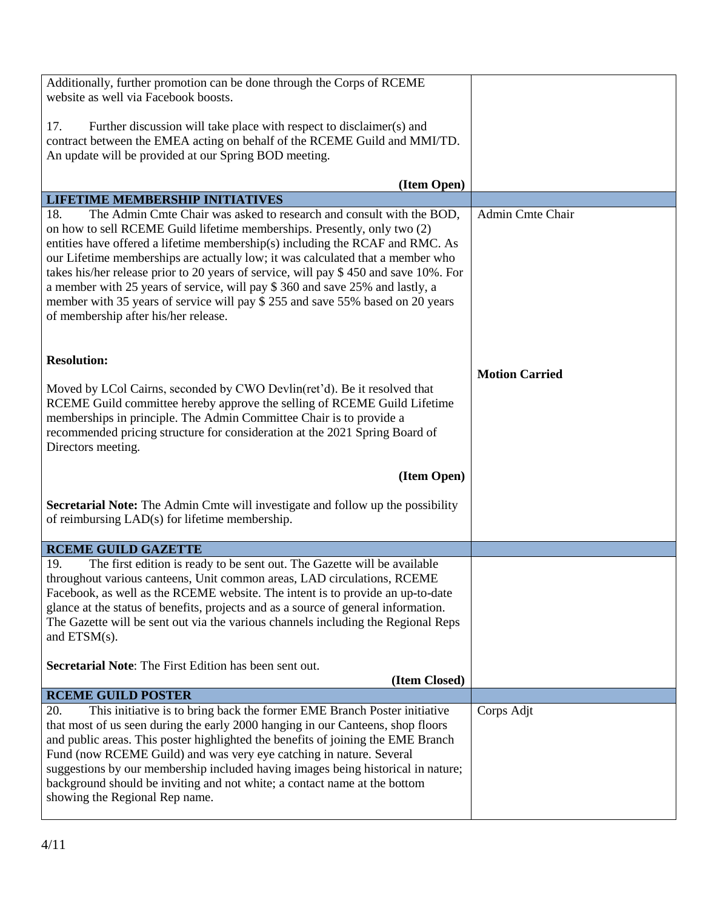| Additionally, further promotion can be done through the Corps of RCEME<br>website as well via Facebook boosts.                                                                                                                                                                                                                                                                                                                                                                                                                                |                       |
|-----------------------------------------------------------------------------------------------------------------------------------------------------------------------------------------------------------------------------------------------------------------------------------------------------------------------------------------------------------------------------------------------------------------------------------------------------------------------------------------------------------------------------------------------|-----------------------|
| Further discussion will take place with respect to disclaimer(s) and<br>17.<br>contract between the EMEA acting on behalf of the RCEME Guild and MMI/TD.<br>An update will be provided at our Spring BOD meeting.                                                                                                                                                                                                                                                                                                                             |                       |
|                                                                                                                                                                                                                                                                                                                                                                                                                                                                                                                                               |                       |
| (Item Open)                                                                                                                                                                                                                                                                                                                                                                                                                                                                                                                                   |                       |
| <b>LIFETIME MEMBERSHIP INITIATIVES</b><br>18.<br>The Admin Cmte Chair was asked to research and consult with the BOD,                                                                                                                                                                                                                                                                                                                                                                                                                         | Admin Cmte Chair      |
| on how to sell RCEME Guild lifetime memberships. Presently, only two (2)<br>entities have offered a lifetime membership(s) including the RCAF and RMC. As<br>our Lifetime memberships are actually low; it was calculated that a member who<br>takes his/her release prior to 20 years of service, will pay \$450 and save 10%. For<br>a member with 25 years of service, will pay \$360 and save 25% and lastly, a<br>member with 35 years of service will pay \$ 255 and save 55% based on 20 years<br>of membership after his/her release. |                       |
| <b>Resolution:</b><br>Moved by LCol Cairns, seconded by CWO Devlin(ret'd). Be it resolved that<br>RCEME Guild committee hereby approve the selling of RCEME Guild Lifetime<br>memberships in principle. The Admin Committee Chair is to provide a<br>recommended pricing structure for consideration at the 2021 Spring Board of<br>Directors meeting.                                                                                                                                                                                        | <b>Motion Carried</b> |
| (Item Open)                                                                                                                                                                                                                                                                                                                                                                                                                                                                                                                                   |                       |
| Secretarial Note: The Admin Cmte will investigate and follow up the possibility<br>of reimbursing LAD(s) for lifetime membership.                                                                                                                                                                                                                                                                                                                                                                                                             |                       |
| <b>RCEME GUILD GAZETTE</b>                                                                                                                                                                                                                                                                                                                                                                                                                                                                                                                    |                       |
| 19.<br>The first edition is ready to be sent out. The Gazette will be available<br>throughout various canteens, Unit common areas, LAD circulations, RCEME<br>Facebook, as well as the RCEME website. The intent is to provide an up-to-date<br>glance at the status of benefits, projects and as a source of general information.<br>The Gazette will be sent out via the various channels including the Regional Reps<br>and $ETSM(s)$ .                                                                                                    |                       |
| <b>Secretarial Note:</b> The First Edition has been sent out.<br>(Item Closed)                                                                                                                                                                                                                                                                                                                                                                                                                                                                |                       |
| <b>RCEME GUILD POSTER</b>                                                                                                                                                                                                                                                                                                                                                                                                                                                                                                                     |                       |
| This initiative is to bring back the former EME Branch Poster initiative<br>20.<br>that most of us seen during the early 2000 hanging in our Canteens, shop floors<br>and public areas. This poster highlighted the benefits of joining the EME Branch<br>Fund (now RCEME Guild) and was very eye catching in nature. Several<br>suggestions by our membership included having images being historical in nature;<br>background should be inviting and not white; a contact name at the bottom<br>showing the Regional Rep name.              | Corps Adjt            |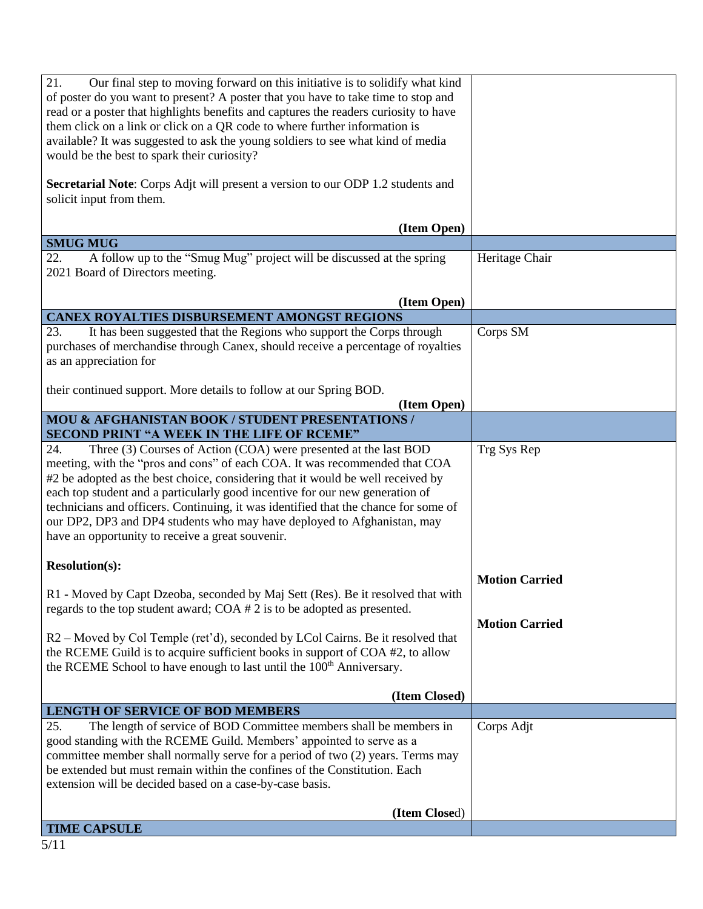| 21.<br>Our final step to moving forward on this initiative is to solidify what kind<br>of poster do you want to present? A poster that you have to take time to stop and<br>read or a poster that highlights benefits and captures the readers curiosity to have<br>them click on a link or click on a QR code to where further information is                                                                                                                                                                                                 |                       |
|------------------------------------------------------------------------------------------------------------------------------------------------------------------------------------------------------------------------------------------------------------------------------------------------------------------------------------------------------------------------------------------------------------------------------------------------------------------------------------------------------------------------------------------------|-----------------------|
| available? It was suggested to ask the young soldiers to see what kind of media<br>would be the best to spark their curiosity?                                                                                                                                                                                                                                                                                                                                                                                                                 |                       |
| Secretarial Note: Corps Adjt will present a version to our ODP 1.2 students and<br>solicit input from them.                                                                                                                                                                                                                                                                                                                                                                                                                                    |                       |
| (Item Open)                                                                                                                                                                                                                                                                                                                                                                                                                                                                                                                                    |                       |
| <b>SMUG MUG</b>                                                                                                                                                                                                                                                                                                                                                                                                                                                                                                                                |                       |
| A follow up to the "Smug Mug" project will be discussed at the spring<br>22.<br>2021 Board of Directors meeting.                                                                                                                                                                                                                                                                                                                                                                                                                               | Heritage Chair        |
| (Item Open)                                                                                                                                                                                                                                                                                                                                                                                                                                                                                                                                    |                       |
| <b>CANEX ROYALTIES DISBURSEMENT AMONGST REGIONS</b>                                                                                                                                                                                                                                                                                                                                                                                                                                                                                            |                       |
| It has been suggested that the Regions who support the Corps through<br>23.<br>purchases of merchandise through Canex, should receive a percentage of royalties<br>as an appreciation for                                                                                                                                                                                                                                                                                                                                                      | Corps SM              |
| their continued support. More details to follow at our Spring BOD.<br>(Item Open)                                                                                                                                                                                                                                                                                                                                                                                                                                                              |                       |
| MOU & AFGHANISTAN BOOK / STUDENT PRESENTATIONS /<br>SECOND PRINT "A WEEK IN THE LIFE OF RCEME"                                                                                                                                                                                                                                                                                                                                                                                                                                                 |                       |
| Three (3) Courses of Action (COA) were presented at the last BOD<br>24.<br>meeting, with the "pros and cons" of each COA. It was recommended that COA<br>#2 be adopted as the best choice, considering that it would be well received by<br>each top student and a particularly good incentive for our new generation of<br>technicians and officers. Continuing, it was identified that the chance for some of<br>our DP2, DP3 and DP4 students who may have deployed to Afghanistan, may<br>have an opportunity to receive a great souvenir. | Trg Sys Rep           |
| <b>Resolution(s):</b>                                                                                                                                                                                                                                                                                                                                                                                                                                                                                                                          | <b>Motion Carried</b> |
| R1 - Moved by Capt Dzeoba, seconded by Maj Sett (Res). Be it resolved that with<br>regards to the top student award; COA # 2 is to be adopted as presented.                                                                                                                                                                                                                                                                                                                                                                                    | <b>Motion Carried</b> |
| R2 – Moved by Col Temple (ret'd), seconded by LCol Cairns. Be it resolved that<br>the RCEME Guild is to acquire sufficient books in support of COA #2, to allow<br>the RCEME School to have enough to last until the 100 <sup>th</sup> Anniversary.                                                                                                                                                                                                                                                                                            |                       |
| (Item Closed)                                                                                                                                                                                                                                                                                                                                                                                                                                                                                                                                  |                       |
| <b>LENGTH OF SERVICE OF BOD MEMBERS</b>                                                                                                                                                                                                                                                                                                                                                                                                                                                                                                        |                       |
| 25.<br>The length of service of BOD Committee members shall be members in<br>good standing with the RCEME Guild. Members' appointed to serve as a<br>committee member shall normally serve for a period of two (2) years. Terms may<br>be extended but must remain within the confines of the Constitution. Each<br>extension will be decided based on a case-by-case basis.                                                                                                                                                                   | Corps Adjt            |
| (Item Closed)                                                                                                                                                                                                                                                                                                                                                                                                                                                                                                                                  |                       |
| <b>TIME CAPSULE</b>                                                                                                                                                                                                                                                                                                                                                                                                                                                                                                                            |                       |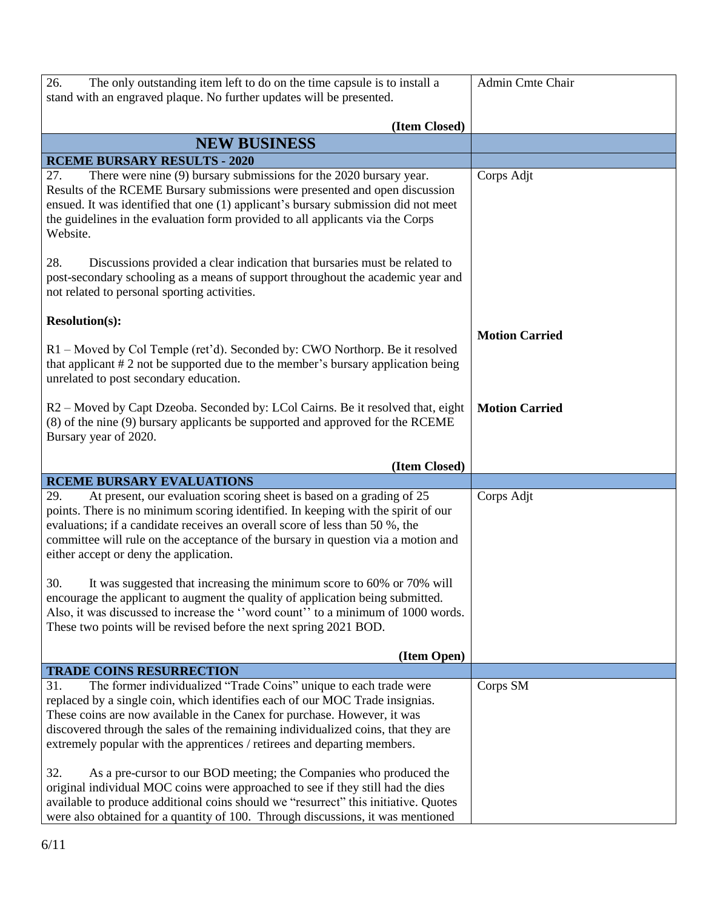| 26.<br>The only outstanding item left to do on the time capsule is to install a<br>stand with an engraved plaque. No further updates will be presented.                                                                                                                                                                                                                         | Admin Cmte Chair      |
|---------------------------------------------------------------------------------------------------------------------------------------------------------------------------------------------------------------------------------------------------------------------------------------------------------------------------------------------------------------------------------|-----------------------|
| (Item Closed)                                                                                                                                                                                                                                                                                                                                                                   |                       |
| <b>NEW BUSINESS</b>                                                                                                                                                                                                                                                                                                                                                             |                       |
| <b>RCEME BURSARY RESULTS - 2020</b>                                                                                                                                                                                                                                                                                                                                             |                       |
| There were nine (9) bursary submissions for the 2020 bursary year.<br>27.<br>Results of the RCEME Bursary submissions were presented and open discussion<br>ensued. It was identified that one (1) applicant's bursary submission did not meet<br>the guidelines in the evaluation form provided to all applicants via the Corps<br>Website.                                    | Corps Adjt            |
| 28.<br>Discussions provided a clear indication that bursaries must be related to<br>post-secondary schooling as a means of support throughout the academic year and<br>not related to personal sporting activities.                                                                                                                                                             |                       |
| <b>Resolution(s):</b>                                                                                                                                                                                                                                                                                                                                                           | <b>Motion Carried</b> |
| R1 - Moved by Col Temple (ret'd). Seconded by: CWO Northorp. Be it resolved<br>that applicant # 2 not be supported due to the member's bursary application being<br>unrelated to post secondary education.                                                                                                                                                                      |                       |
| R2 – Moved by Capt Dzeoba. Seconded by: LCol Cairns. Be it resolved that, eight<br>(8) of the nine (9) bursary applicants be supported and approved for the RCEME<br>Bursary year of 2020.                                                                                                                                                                                      | <b>Motion Carried</b> |
| (Item Closed)                                                                                                                                                                                                                                                                                                                                                                   |                       |
| <b>RCEME BURSARY EVALUATIONS</b>                                                                                                                                                                                                                                                                                                                                                |                       |
| At present, our evaluation scoring sheet is based on a grading of 25<br>29.<br>points. There is no minimum scoring identified. In keeping with the spirit of our<br>evaluations; if a candidate receives an overall score of less than 50 %, the<br>committee will rule on the acceptance of the bursary in question via a motion and<br>either accept or deny the application. | Corps Adjt            |
| 30.<br>It was suggested that increasing the minimum score to 60% or 70% will<br>encourage the applicant to augment the quality of application being submitted.<br>Also, it was discussed to increase the "word count" to a minimum of 1000 words.<br>These two points will be revised before the next spring 2021 BOD.                                                          |                       |
| (Item Open)                                                                                                                                                                                                                                                                                                                                                                     |                       |
| <b>TRADE COINS RESURRECTION</b><br>The former individualized "Trade Coins" unique to each trade were<br>31.                                                                                                                                                                                                                                                                     | Corps SM              |
| replaced by a single coin, which identifies each of our MOC Trade insignias.<br>These coins are now available in the Canex for purchase. However, it was<br>discovered through the sales of the remaining individualized coins, that they are<br>extremely popular with the apprentices / retirees and departing members.                                                       |                       |
| 32.<br>As a pre-cursor to our BOD meeting; the Companies who produced the<br>original individual MOC coins were approached to see if they still had the dies<br>available to produce additional coins should we "resurrect" this initiative. Quotes<br>were also obtained for a quantity of 100. Through discussions, it was mentioned                                          |                       |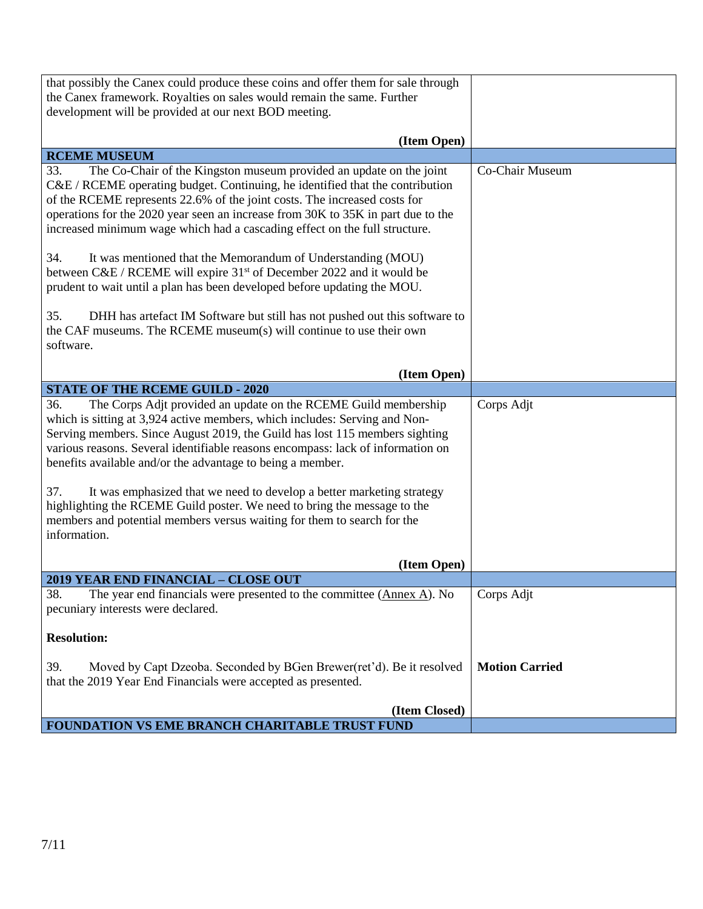| that possibly the Canex could produce these coins and offer them for sale through<br>the Canex framework. Royalties on sales would remain the same. Further                                                                                                                                                                                                                                                                                                                      |                       |
|----------------------------------------------------------------------------------------------------------------------------------------------------------------------------------------------------------------------------------------------------------------------------------------------------------------------------------------------------------------------------------------------------------------------------------------------------------------------------------|-----------------------|
| development will be provided at our next BOD meeting.                                                                                                                                                                                                                                                                                                                                                                                                                            |                       |
| (Item Open)                                                                                                                                                                                                                                                                                                                                                                                                                                                                      |                       |
| <b>RCEME MUSEUM</b>                                                                                                                                                                                                                                                                                                                                                                                                                                                              |                       |
| The Co-Chair of the Kingston museum provided an update on the joint<br>33.<br>C&E / RCEME operating budget. Continuing, he identified that the contribution<br>of the RCEME represents 22.6% of the joint costs. The increased costs for<br>operations for the 2020 year seen an increase from 30K to 35K in part due to the<br>increased minimum wage which had a cascading effect on the full structure.<br>34.<br>It was mentioned that the Memorandum of Understanding (MOU) | Co-Chair Museum       |
| between C&E / RCEME will expire 31 <sup>st</sup> of December 2022 and it would be<br>prudent to wait until a plan has been developed before updating the MOU.                                                                                                                                                                                                                                                                                                                    |                       |
| DHH has artefact IM Software but still has not pushed out this software to<br>35.<br>the CAF museums. The RCEME museum(s) will continue to use their own<br>software.                                                                                                                                                                                                                                                                                                            |                       |
| (Item Open)                                                                                                                                                                                                                                                                                                                                                                                                                                                                      |                       |
| <b>STATE OF THE RCEME GUILD - 2020</b>                                                                                                                                                                                                                                                                                                                                                                                                                                           |                       |
| The Corps Adjt provided an update on the RCEME Guild membership<br>36.<br>which is sitting at 3,924 active members, which includes: Serving and Non-<br>Serving members. Since August 2019, the Guild has lost 115 members sighting<br>various reasons. Several identifiable reasons encompass: lack of information on<br>benefits available and/or the advantage to being a member.                                                                                             | Corps Adjt            |
| 37.<br>It was emphasized that we need to develop a better marketing strategy<br>highlighting the RCEME Guild poster. We need to bring the message to the<br>members and potential members versus waiting for them to search for the<br>information.                                                                                                                                                                                                                              |                       |
| (Item Open)                                                                                                                                                                                                                                                                                                                                                                                                                                                                      |                       |
| 2019 YEAR END FINANCIAL - CLOSE OUT                                                                                                                                                                                                                                                                                                                                                                                                                                              |                       |
| 38.<br>The year end financials were presented to the committee $(An\nexe A)$ . No<br>pecuniary interests were declared.                                                                                                                                                                                                                                                                                                                                                          | Corps Adjt            |
| <b>Resolution:</b>                                                                                                                                                                                                                                                                                                                                                                                                                                                               |                       |
| Moved by Capt Dzeoba. Seconded by BGen Brewer(ret'd). Be it resolved<br>39.<br>that the 2019 Year End Financials were accepted as presented.                                                                                                                                                                                                                                                                                                                                     | <b>Motion Carried</b> |
| (Item Closed)                                                                                                                                                                                                                                                                                                                                                                                                                                                                    |                       |
| FOUNDATION VS EME BRANCH CHARITABLE TRUST FUND                                                                                                                                                                                                                                                                                                                                                                                                                                   |                       |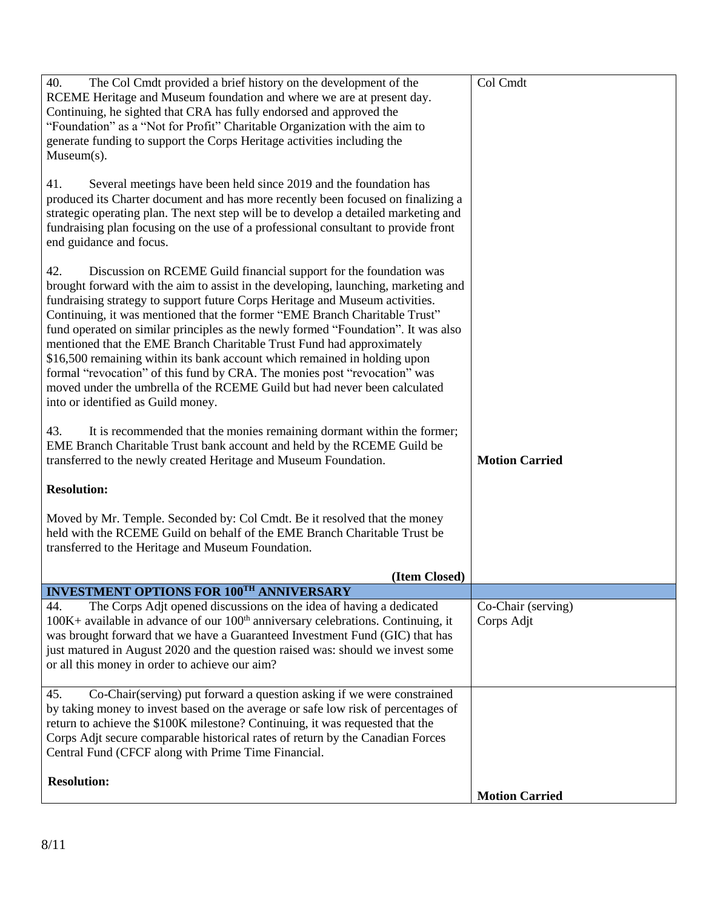| 40.<br>The Col Cmdt provided a brief history on the development of the<br>RCEME Heritage and Museum foundation and where we are at present day.<br>Continuing, he sighted that CRA has fully endorsed and approved the<br>"Foundation" as a "Not for Profit" Charitable Organization with the aim to<br>generate funding to support the Corps Heritage activities including the<br>$Museum(s)$ .                                                                                                                                                                                                                                                                                                                                                                         | Col Cmdt                         |
|--------------------------------------------------------------------------------------------------------------------------------------------------------------------------------------------------------------------------------------------------------------------------------------------------------------------------------------------------------------------------------------------------------------------------------------------------------------------------------------------------------------------------------------------------------------------------------------------------------------------------------------------------------------------------------------------------------------------------------------------------------------------------|----------------------------------|
| Several meetings have been held since 2019 and the foundation has<br>41.<br>produced its Charter document and has more recently been focused on finalizing a<br>strategic operating plan. The next step will be to develop a detailed marketing and<br>fundraising plan focusing on the use of a professional consultant to provide front<br>end guidance and focus.                                                                                                                                                                                                                                                                                                                                                                                                     |                                  |
| 42.<br>Discussion on RCEME Guild financial support for the foundation was<br>brought forward with the aim to assist in the developing, launching, marketing and<br>fundraising strategy to support future Corps Heritage and Museum activities.<br>Continuing, it was mentioned that the former "EME Branch Charitable Trust"<br>fund operated on similar principles as the newly formed "Foundation". It was also<br>mentioned that the EME Branch Charitable Trust Fund had approximately<br>\$16,500 remaining within its bank account which remained in holding upon<br>formal "revocation" of this fund by CRA. The monies post "revocation" was<br>moved under the umbrella of the RCEME Guild but had never been calculated<br>into or identified as Guild money. |                                  |
| It is recommended that the monies remaining dormant within the former;<br>43.<br>EME Branch Charitable Trust bank account and held by the RCEME Guild be<br>transferred to the newly created Heritage and Museum Foundation.                                                                                                                                                                                                                                                                                                                                                                                                                                                                                                                                             | <b>Motion Carried</b>            |
| <b>Resolution:</b>                                                                                                                                                                                                                                                                                                                                                                                                                                                                                                                                                                                                                                                                                                                                                       |                                  |
| Moved by Mr. Temple. Seconded by: Col Cmdt. Be it resolved that the money<br>held with the RCEME Guild on behalf of the EME Branch Charitable Trust be<br>transferred to the Heritage and Museum Foundation.                                                                                                                                                                                                                                                                                                                                                                                                                                                                                                                                                             |                                  |
| (Item Closed)                                                                                                                                                                                                                                                                                                                                                                                                                                                                                                                                                                                                                                                                                                                                                            |                                  |
| <b>INVESTMENT OPTIONS FOR 100TH ANNIVERSARY</b>                                                                                                                                                                                                                                                                                                                                                                                                                                                                                                                                                                                                                                                                                                                          |                                  |
| The Corps Adjt opened discussions on the idea of having a dedicated<br>44.<br>$100K +$ available in advance of our $100th$ anniversary celebrations. Continuing, it<br>was brought forward that we have a Guaranteed Investment Fund (GIC) that has<br>just matured in August 2020 and the question raised was: should we invest some<br>or all this money in order to achieve our aim?                                                                                                                                                                                                                                                                                                                                                                                  | Co-Chair (serving)<br>Corps Adjt |
| Co-Chair(serving) put forward a question asking if we were constrained<br>45.<br>by taking money to invest based on the average or safe low risk of percentages of<br>return to achieve the \$100K milestone? Continuing, it was requested that the<br>Corps Adjt secure comparable historical rates of return by the Canadian Forces<br>Central Fund (CFCF along with Prime Time Financial.                                                                                                                                                                                                                                                                                                                                                                             |                                  |
| <b>Resolution:</b>                                                                                                                                                                                                                                                                                                                                                                                                                                                                                                                                                                                                                                                                                                                                                       | <b>Motion Carried</b>            |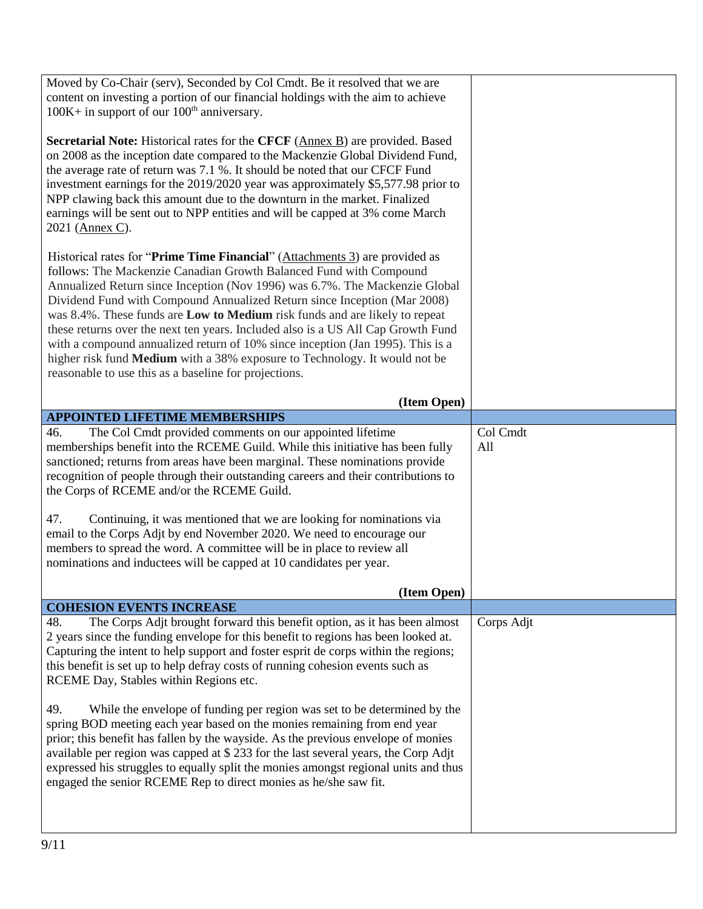| Moved by Co-Chair (serv), Seconded by Col Cmdt. Be it resolved that we are                                                                                                                                                                                                                                                                                                                                                                                                                                                                                                                                                                                                                               |                 |
|----------------------------------------------------------------------------------------------------------------------------------------------------------------------------------------------------------------------------------------------------------------------------------------------------------------------------------------------------------------------------------------------------------------------------------------------------------------------------------------------------------------------------------------------------------------------------------------------------------------------------------------------------------------------------------------------------------|-----------------|
| content on investing a portion of our financial holdings with the aim to achieve<br>$100K +$ in support of our $100th$ anniversary.                                                                                                                                                                                                                                                                                                                                                                                                                                                                                                                                                                      |                 |
| Secretarial Note: Historical rates for the CFCF (Annex B) are provided. Based<br>on 2008 as the inception date compared to the Mackenzie Global Dividend Fund,<br>the average rate of return was 7.1 %. It should be noted that our CFCF Fund<br>investment earnings for the 2019/2020 year was approximately \$5,577.98 prior to<br>NPP clawing back this amount due to the downturn in the market. Finalized<br>earnings will be sent out to NPP entities and will be capped at 3% come March<br>2021 (Annex C).                                                                                                                                                                                       |                 |
| Historical rates for "Prime Time Financial" (Attachments 3) are provided as<br>follows: The Mackenzie Canadian Growth Balanced Fund with Compound<br>Annualized Return since Inception (Nov 1996) was 6.7%. The Mackenzie Global<br>Dividend Fund with Compound Annualized Return since Inception (Mar 2008)<br>was 8.4%. These funds are Low to Medium risk funds and are likely to repeat<br>these returns over the next ten years. Included also is a US All Cap Growth Fund<br>with a compound annualized return of 10% since inception (Jan 1995). This is a<br>higher risk fund Medium with a 38% exposure to Technology. It would not be<br>reasonable to use this as a baseline for projections. |                 |
| (Item Open)                                                                                                                                                                                                                                                                                                                                                                                                                                                                                                                                                                                                                                                                                              |                 |
| <b>APPOINTED LIFETIME MEMBERSHIPS</b>                                                                                                                                                                                                                                                                                                                                                                                                                                                                                                                                                                                                                                                                    |                 |
| The Col Cmdt provided comments on our appointed lifetime<br>46.<br>memberships benefit into the RCEME Guild. While this initiative has been fully<br>sanctioned; returns from areas have been marginal. These nominations provide<br>recognition of people through their outstanding careers and their contributions to                                                                                                                                                                                                                                                                                                                                                                                  | Col Cmdt<br>All |
| the Corps of RCEME and/or the RCEME Guild.                                                                                                                                                                                                                                                                                                                                                                                                                                                                                                                                                                                                                                                               |                 |
| Continuing, it was mentioned that we are looking for nominations via<br>47.<br>email to the Corps Adjt by end November 2020. We need to encourage our<br>members to spread the word. A committee will be in place to review all<br>nominations and inductees will be capped at 10 candidates per year.                                                                                                                                                                                                                                                                                                                                                                                                   |                 |
| (Item Open)                                                                                                                                                                                                                                                                                                                                                                                                                                                                                                                                                                                                                                                                                              |                 |
| <b>COHESION EVENTS INCREASE</b><br>The Corps Adjt brought forward this benefit option, as it has been almost<br>48.<br>2 years since the funding envelope for this benefit to regions has been looked at.<br>Capturing the intent to help support and foster esprit de corps within the regions;<br>this benefit is set up to help defray costs of running cohesion events such as<br>RCEME Day, Stables within Regions etc.                                                                                                                                                                                                                                                                             | Corps Adjt      |
| 49.<br>While the envelope of funding per region was set to be determined by the<br>spring BOD meeting each year based on the monies remaining from end year<br>prior; this benefit has fallen by the wayside. As the previous envelope of monies<br>available per region was capped at \$ 233 for the last several years, the Corp Adjt<br>expressed his struggles to equally split the monies amongst regional units and thus<br>engaged the senior RCEME Rep to direct monies as he/she saw fit.                                                                                                                                                                                                       |                 |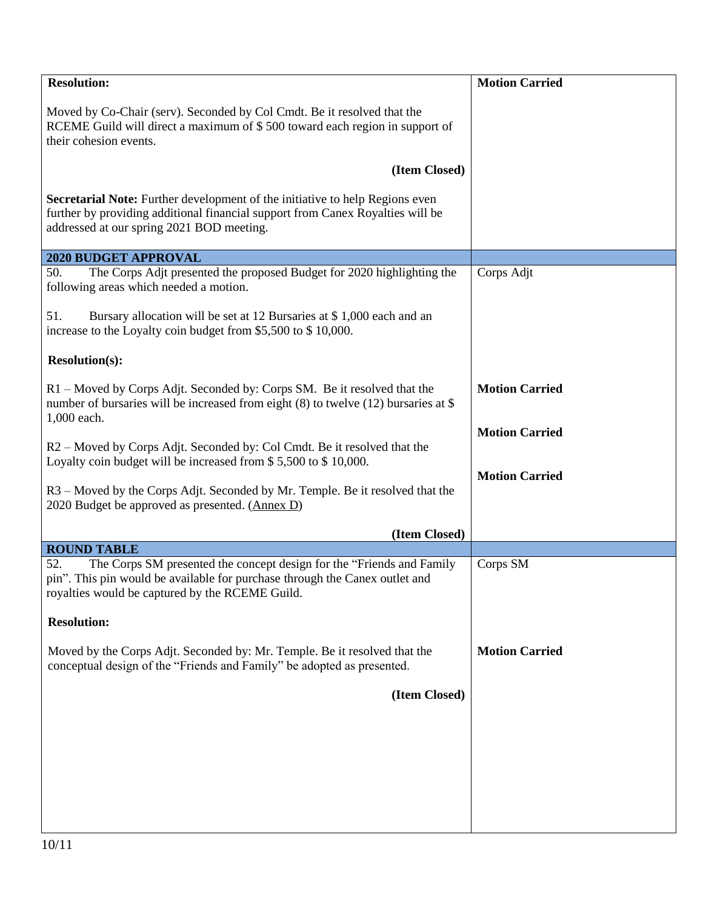| <b>Resolution:</b>                                                                                                                                                                                              | <b>Motion Carried</b> |
|-----------------------------------------------------------------------------------------------------------------------------------------------------------------------------------------------------------------|-----------------------|
| Moved by Co-Chair (serv). Seconded by Col Cmdt. Be it resolved that the<br>RCEME Guild will direct a maximum of \$500 toward each region in support of<br>their cohesion events.                                |                       |
| (Item Closed)                                                                                                                                                                                                   |                       |
| Secretarial Note: Further development of the initiative to help Regions even<br>further by providing additional financial support from Canex Royalties will be<br>addressed at our spring 2021 BOD meeting.     |                       |
| 2020 BUDGET APPROVAL                                                                                                                                                                                            |                       |
| The Corps Adjt presented the proposed Budget for 2020 highlighting the<br>50.<br>following areas which needed a motion.                                                                                         | Corps Adjt            |
| 51.<br>Bursary allocation will be set at 12 Bursaries at \$1,000 each and an<br>increase to the Loyalty coin budget from \$5,500 to \$10,000.                                                                   |                       |
| <b>Resolution(s):</b>                                                                                                                                                                                           |                       |
| R1 – Moved by Corps Adjt. Seconded by: Corps SM. Be it resolved that the<br>number of bursaries will be increased from eight $(8)$ to twelve $(12)$ bursaries at \$<br>1,000 each.                              | <b>Motion Carried</b> |
|                                                                                                                                                                                                                 | <b>Motion Carried</b> |
| R2 – Moved by Corps Adjt. Seconded by: Col Cmdt. Be it resolved that the<br>Loyalty coin budget will be increased from \$5,500 to \$10,000.                                                                     |                       |
| R3 – Moved by the Corps Adjt. Seconded by Mr. Temple. Be it resolved that the<br>2020 Budget be approved as presented. (Annex D)                                                                                | <b>Motion Carried</b> |
| (Item Closed)                                                                                                                                                                                                   |                       |
| <b>ROUND TABLE</b>                                                                                                                                                                                              |                       |
| The Corps SM presented the concept design for the "Friends and Family"<br>52.<br>pin". This pin would be available for purchase through the Canex outlet and<br>royalties would be captured by the RCEME Guild. | Corps SM              |
| <b>Resolution:</b>                                                                                                                                                                                              |                       |
| Moved by the Corps Adjt. Seconded by: Mr. Temple. Be it resolved that the<br>conceptual design of the "Friends and Family" be adopted as presented.                                                             | <b>Motion Carried</b> |
| (Item Closed)                                                                                                                                                                                                   |                       |
|                                                                                                                                                                                                                 |                       |
|                                                                                                                                                                                                                 |                       |
|                                                                                                                                                                                                                 |                       |
|                                                                                                                                                                                                                 |                       |
|                                                                                                                                                                                                                 |                       |
|                                                                                                                                                                                                                 |                       |